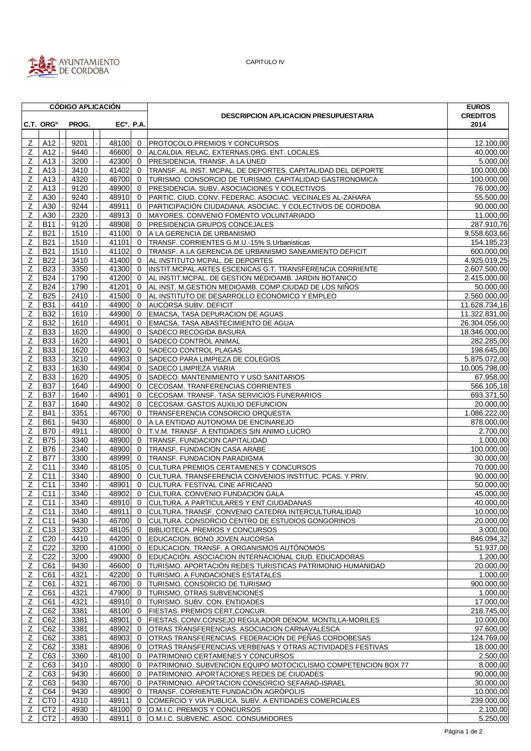

CAPITULO IV

|                |                       | <b>CÓDIGO APLICACIÓN</b> |         |                        |                                                                | <b>EUROS</b>    |
|----------------|-----------------------|--------------------------|---------|------------------------|----------------------------------------------------------------|-----------------|
|                |                       |                          |         |                        | <b>DESCRIPCION APLICACION PRESUPUESTARIA</b>                   | <b>CREDITOS</b> |
|                | C.T. ORG <sup>o</sup> | PROG.                    |         | EC <sup>o</sup> . P.A. |                                                                | 2014            |
|                |                       |                          |         |                        |                                                                |                 |
| Z              | A12                   | 9201                     | 48100   | $\mathbf{0}$           | PROTOCOLO.PREMIOS Y CONCURSOS                                  | 12.100,00       |
| Ζ              | A12                   | 9440                     | 46600   | $\Omega$               | ALCALDIA. RELAC. EXTERNAS.ORG. ENT. LOCALES                    | 40.000,00       |
| Z              | A13                   | 3200                     | 42300   | $\Omega$               | PRESIDENCIA. TRANSF. A LA UNED                                 | 5.000,00        |
|                | A13                   |                          | 41402   |                        |                                                                | 100.000,00      |
| Ζ              |                       | 3410                     |         | $\mathbf{0}$           | TRANSF. AL INST. MCPAL. DE DEPORTES. CAPITALIDAD DEL DEPORTE   |                 |
| Z              | A13                   | 4320                     | 46700   | $\mathbf 0$            | TURISMO. CONSORCIO DE TURISMO. CAPITALIDAD GASTRONOMICA        | 100.000,00      |
| Ζ              | A13                   | 9120                     | 48900   | $\mathbf{0}$           | PRESIDENCIA. SUBV. ASOCIACIONES Y COLECTIVOS                   | 76.000,00       |
| Z              | A30                   | 9240                     | 48910   | $\mathbf 0$            | PARTIC. CIUD. CONV. FEDERAC. ASOCIAC. VECINALES AL-ZAHARA      | 55.500,00       |
| Ζ              | A30                   | 9244                     | 48911   | $\Omega$               | PARTICIPACIÓN CIUDADANA. ASOCIAC. Y COLECTIVOS DE CORDOBA      | 90.000.00       |
| Ζ              | A30                   | 2320                     | 48913   | 0                      | MAYORES. CONVENIO FOMENTO VOLUNTARIADO                         | 11.000,00       |
| Z              | <b>B11</b>            | 9120                     | 48908   | $\mathbf{0}$           | PRESIDENCIA GRUPOS CONCEJALES                                  | 287.910,76      |
| Ζ              | <b>B21</b>            | 1510                     | 41100   | $\mathbf{0}$           | A LA GERENCIA DE URBANISMO                                     | 9.558.603,66    |
| Ζ              | <b>B21</b>            | 1510                     | 41101   | $\mathbf{0}$           | TRANSF. CORRIENTES G.M.U.-15% S.Urbanisticas                   | 154.185,23      |
|                |                       |                          |         |                        |                                                                |                 |
| Z              | <b>B21</b>            | 1510                     | 41102   | $\mathbf{0}$           | TRANSF. A LA GERENCIA DE URBANISMO SANEAMIENTO DEFICIT         | 600.000,00      |
| Z              | <b>B22</b>            | 3410                     | 41400   | $\Omega$               | AL INSTITUTO MCPAL. DE DEPORTES                                | 4.925.019,25    |
| z              | <b>B23</b>            | 3350                     | 41300   | $\mathbf 0$            | INSTIT.MCPAL.ARTES ESCENICAS G.T. TRANSFERENCIA CORRIENTE      | 2.607.500,00    |
| Z              | <b>B24</b>            | 1790                     | 41200   | $\mathbf{0}$           | AL INSTIT.MCPAL. DE GESTION MEDIOAMB. JARDIN BOTANICO          | 2.415.000,00    |
| Z              | <b>B24</b>            | 1790                     | 41201   | $\mathbf{0}$           | AL INST. M.GESTION MEDIOAMB. COMP.CIUDAD DE LOS NIÑOS          | 50.000,00       |
| Ζ              | <b>B25</b>            | 2410                     | 41500   | $\mathbf{0}$           | AL INSTITUTO DE DESARROLLO ECONÓMICO Y EMPLEO                  | 2.560.000,00    |
| Ζ              | <b>B31</b>            | 4410                     | 44900   | $\mathbf{0}$           | <b>AUCORSA SUBV. DEFICIT</b>                                   | 11.628.734,16   |
| Ζ              | <b>B32</b>            | 1610                     | 44900   | $\mathbf{0}$           | EMACSA, TASA DEPURACION DE AGUAS                               | 11.322.831,00   |
| Z              | <b>B32</b>            | 1610                     | 44901   | $\mathbf 0$            | EMACSA. TASA ABASTECIMIENTO DE AGUA                            | 26.304.056,00   |
|                |                       |                          |         |                        |                                                                |                 |
| Ζ              | <b>B33</b>            | 1620                     | 44900   | $\mathbf{0}$           | SADECO RECOGIDA BASURA                                         | 18.346.000,00   |
| Z              | <b>B33</b>            | 1620                     | 44901   | $\mathbf 0$            | SADECO CONTROL ANIMAL                                          | 282.285,00      |
| Ζ              | <b>B33</b>            | 1620                     | 44902   | $\mathbf 0$            | SADECO CONTROL PLAGAS                                          | 198.645,00      |
| Z              | <b>B33</b>            | 3210                     | 44903   | $\mathbf 0$            | SADECO PARA LIMPIEZA DE COLEGIOS                               | 5.875.072,00    |
| Z              | <b>B33</b>            | 1630                     | 44904   | $\mathbf{0}$           | SADECO LIMPIEZA VIARIA                                         | 10.005.798,00   |
| Ζ              | <b>B33</b>            | 1620                     | 44905   | $\mathbf 0$            | SADECO. MANTENIMIENTO Y USO SANITARIOS                         | 67.958,00       |
| Z              | <b>B37</b>            | 1640                     | 44900   | $\mathbf{0}$           | CECOSAM. TRANFERENCIAS CORRIENTES                              | 566.105,18      |
| Ζ              | B37                   | 1640                     | 44901   | $\mathbf{0}$           | CECOSAM. TRANSF. TASA SERVICIOS FUNERARIOS                     | 693.371,50      |
| Ζ              | <b>B37</b>            | 1640                     | 44902   | $\mathbf 0$            | CECOSAM. GASTOS AUXILIO DEFUNCION                              | 20.000,00       |
|                | <b>B41</b>            |                          | 46700   |                        |                                                                |                 |
| Ζ              |                       | 3351                     |         | $\mathbf{0}$           | TRANSFERENCIA CONSORCIO ORQUESTA                               | 1.086.222,00    |
| Z              | <b>B61</b>            | 9430                     | 46800   | $\mathbf 0$            | A LA ENTIDAD AUTONOMA DE ENCINAREJO                            | 878.000,00      |
| Ζ              | <b>B70</b>            | 4911                     | 48000   | $\mathbf 0$            | T.V.M. TRANSF. A ENTIDADES SIN ANIMO LUCRO                     | 2.700,00        |
| Ζ              | <b>B75</b>            | 3340                     | 48900   | $\mathbf 0$            | TRANSF. FUNDACION CAPITALIDAD                                  | 1.000,00        |
| Z              | B76                   | 2340                     | 48900   | $\mathbf 0$            | TRANSF. FUNDACION CASA ARABE                                   | 100.000,00      |
| Ζ              | <b>B77</b>            | 3300                     | 48999   | $\mathbf 0$            | TRANSF. FUNDACION PARADIGMA                                    | 30.000,00       |
| Ζ              | C11                   | 3340                     | 48105   | $\mathbf 0$            | CULTURA PREMIOS CERTAMENES Y CONCURSOS                         | 70.000,00       |
| Ζ              | C11                   | 3340                     | 48900   | $\mathbf{0}$           | CULTURA. TRANSFERENCIA CONVENIOS INSTITUC. PCAS. Y PRIV.       | 90.000,00       |
| $\overline{Z}$ | C <sub>11</sub>       | 3340                     | 48901   | $\Omega$               | CULTURA. FESTIVAL CINE AFRICANO                                | 50.000,00       |
| Ζ              | C11                   | 3340                     | 48902   | $\mathbf 0$            | CULTURA, CONVENIO FUNDACION GALA                               | 45.000,00       |
|                |                       |                          |         |                        |                                                                |                 |
|                | $Z$ C11               | 3340                     | 48910 0 |                        | CULTURA. A PARTICULARES Y ENT.CIUDADANAS                       | 40.000,00       |
| Z              | C11                   | 3340                     | 48911   | $\mathbf 0$            | CULTURA. TRANSF. CONVENIO CATEDRA INTERCULTURALIDAD            | 10.000,00       |
| Z              | C11                   | 9430                     | 46700   | $\mathbf{0}$           | CULTURA. CONSORCIO CENTRO DE ESTUDIOS GONGORINOS               | 20.000,00       |
| Ζ              | C <sub>13</sub>       | 3320                     | 48105   | 0                      | BIBLIOTECA. PREMIOS Y CONCURSOS                                | 3.000,00        |
| Ζ              | C <sub>20</sub>       | 4410                     | 44200   | $\mathbf 0$            | EDUCACION. BONO JOVEN AUCORSA                                  | 846.094,32      |
| Z              | C <sub>22</sub>       | 3200                     | 41000   | $\mathbf{0}$           | EDUCACION. TRANSF. A ORGANISMOS AUTÓNOMOS                      | 51.937,00       |
| Ζ              | C <sub>22</sub>       | 3200                     | 49000   | 0                      | EDUCACIÓN. ASOCIACION INTERNACIONAL CIUD. EDUCADORAS           | 1.200,00        |
| Ζ              | C61                   | 9430                     | 46600   | 0                      | TURISMO. APORTACIÓN REDES TURISTICAS PATRIMONIO HUMANIDAD      | 20.000,00       |
| Ζ              | C61                   | 4321                     | 42200   | 0                      | TURISMO. A FUNDACIONES ESTATALES                               | 1.000,00        |
| Ζ              | C61                   | 4321                     | 46700   | 0                      | TURISMO. CONSORCIO DE TURISMO                                  | 900.000,00      |
|                |                       |                          |         |                        |                                                                | 1.000,00        |
| Ζ              | C61                   | 4321                     | 47900   | 0                      | TURISMO. OTRAS SUBVENCIONES                                    |                 |
| Ζ              | C61                   | 4321                     | 48910   | 0                      | TURISMO. SUBV. CON. ENTIDADES                                  | 17.000,00       |
| Ζ              | C62                   | 3381                     | 48100   | $\mathbf{0}$           | FIESTAS. PREMIOS CERT, CONCUR.                                 | 218.745,00      |
| Ζ              | C62                   | 3381                     | 48901   | $\mathbf{0}$           | FIESTAS. CONV.CONSEJO REGULADOR DENOM. MONTILLA-MORILES        | 10.000,00       |
| Ζ              | C62                   | 3381                     | 48902   | $\mathbf{0}$           | OTRAS TRANSFERENCIAS. ASOCIACION CARNAVALESCA                  | 97.600,00       |
| Z              | C62                   | 3381                     | 48903   | 0                      | OTRAS TRANSFERENCIAS. FEDERACION DE PEÑAS CORDOBESAS           | 124.769,00      |
| Ζ              | C62                   | 3381                     | 48906   | 0                      | OTRAS TRANSFERENCIAS. VERBENAS Y OTRAS ACTIVIDADES FESTIVAS    | 18.000,00       |
| Ζ              | C63                   | 3360                     | 48100   | 0                      | PATRIMONIO CERTAMENES Y CONCURSOS                              | 2.500,00        |
| Ζ              | C63                   | 3410                     | 48000   | 0                      | PATRIMONIO. SUBVENCION EQUIPO MOTOCICLISMO COMPETENCION BOX 77 | 8.000,00        |
| Ζ              | C63                   | 9430                     | 46600   | 0                      | PATRIMONIO. APORTACIONES REDES DE CIUDADES                     | 90.000,00       |
|                |                       | 9430                     | 46700   |                        |                                                                |                 |
| Ζ              | C63                   |                          |         | 0                      | PATRIMONIO. APORTACION CONSORCIO SEFARAD-ISRAEL                | 30.000,00       |
| z              | C64                   | 9430                     | 48900   | 0                      | TRANSF. CORRIENTE FUNDACIÓN AGRÓPOLIS                          | 10.000,00       |
| Ζ              | CT <sub>0</sub>       | 4310                     | 48911   | 0                      | COMERCIO Y VIA PUBLICA. SUBV. A ENTIDADES COMERCIALES          | 239.000,00      |
| Ζ              | CT <sub>2</sub>       | 4930                     | 48100   | $\mathbf 0$            | O.M.I.C. PREMIOS Y CONCURSOS                                   | 2.100,00        |
| Z              | CT <sub>2</sub>       | 4930                     | 48911   | 0                      | O.M.I.C. SUBVENC. ASOC. CONSUMIDORES                           | 5.250,00        |